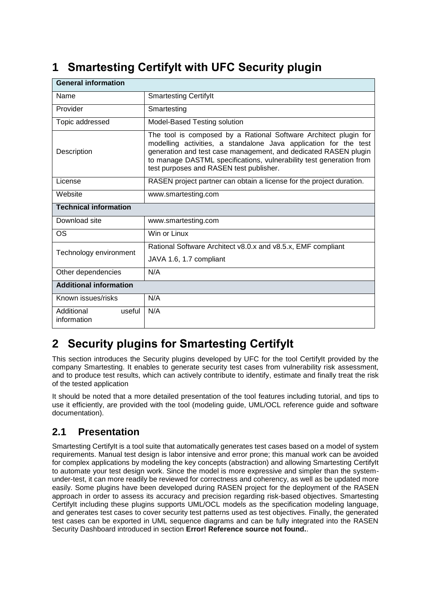# **1 Smartesting CertifyIt with UFC Security plugin**

| <b>General information</b>          |                                                                                                                                                                                                                                                                                                                           |  |  |
|-------------------------------------|---------------------------------------------------------------------------------------------------------------------------------------------------------------------------------------------------------------------------------------------------------------------------------------------------------------------------|--|--|
| Name                                | <b>Smartesting Certifylt</b>                                                                                                                                                                                                                                                                                              |  |  |
| Provider                            | Smartesting                                                                                                                                                                                                                                                                                                               |  |  |
| Topic addressed                     | Model-Based Testing solution                                                                                                                                                                                                                                                                                              |  |  |
| Description                         | The tool is composed by a Rational Software Architect plugin for<br>modelling activities, a standalone Java application for the test<br>generation and test case management, and dedicated RASEN plugin<br>to manage DASTML specifications, vulnerability test generation from<br>test purposes and RASEN test publisher. |  |  |
| License                             | RASEN project partner can obtain a license for the project duration.                                                                                                                                                                                                                                                      |  |  |
| Website                             | www.smartesting.com                                                                                                                                                                                                                                                                                                       |  |  |
| <b>Technical information</b>        |                                                                                                                                                                                                                                                                                                                           |  |  |
| Download site                       | www.smartesting.com                                                                                                                                                                                                                                                                                                       |  |  |
| OS                                  | Win or Linux                                                                                                                                                                                                                                                                                                              |  |  |
| Technology environment              | Rational Software Architect v8.0.x and v8.5.x, EMF compliant                                                                                                                                                                                                                                                              |  |  |
|                                     | JAVA 1.6, 1.7 compliant                                                                                                                                                                                                                                                                                                   |  |  |
| Other dependencies                  | N/A                                                                                                                                                                                                                                                                                                                       |  |  |
| <b>Additional information</b>       |                                                                                                                                                                                                                                                                                                                           |  |  |
| Known issues/risks                  | N/A                                                                                                                                                                                                                                                                                                                       |  |  |
| Additional<br>useful<br>information | N/A                                                                                                                                                                                                                                                                                                                       |  |  |

# **2 Security plugins for Smartesting CertifyIt**

This section introduces the Security plugins developed by UFC for the tool CertifyIt provided by the company Smartesting. It enables to generate security test cases from vulnerability risk assessment, and to produce test results, which can actively contribute to identify, estimate and finally treat the risk of the tested application

It should be noted that a more detailed presentation of the tool features including tutorial, and tips to use it efficiently, are provided with the tool (modeling guide, UML/OCL reference guide and software documentation).

# **2.1 Presentation**

Smartesting CertifyIt is a tool suite that automatically generates test cases based on a model of system requirements. Manual test design is labor intensive and error prone; this manual work can be avoided for complex applications by modeling the key concepts (abstraction) and allowing Smartesting CertifyIt to automate your test design work. Since the model is more expressive and simpler than the systemunder-test, it can more readily be reviewed for correctness and coherency, as well as be updated more easily. Some plugins have been developed during RASEN project for the deployment of the RASEN approach in order to assess its accuracy and precision regarding risk-based objectives. Smartesting CertifyIt including these plugins supports UML/OCL models as the specification modeling language, and generates test cases to cover security test patterns used as test objectives. Finally, the generated test cases can be exported in UML sequence diagrams and can be fully integrated into the RASEN Security Dashboard introduced in section **Error! Reference source not found.**.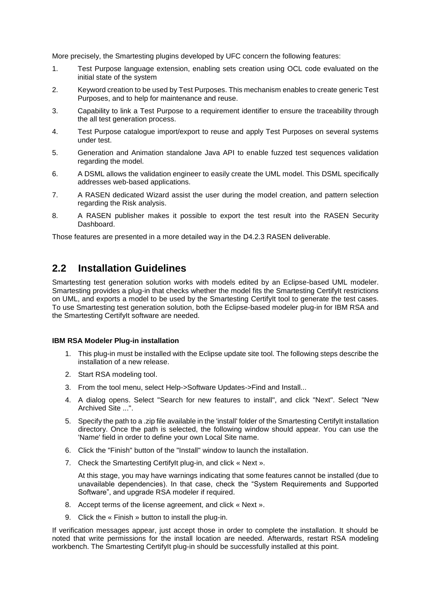More precisely, the Smartesting plugins developed by UFC concern the following features:

- 1. Test Purpose language extension, enabling sets creation using OCL code evaluated on the initial state of the system
- 2. Keyword creation to be used by Test Purposes. This mechanism enables to create generic Test Purposes, and to help for maintenance and reuse.
- 3. Capability to link a Test Purpose to a requirement identifier to ensure the traceability through the all test generation process.
- 4. Test Purpose catalogue import/export to reuse and apply Test Purposes on several systems under test.
- 5. Generation and Animation standalone Java API to enable fuzzed test sequences validation regarding the model.
- 6. A DSML allows the validation engineer to easily create the UML model. This DSML specifically addresses web-based applications.
- 7. A RASEN dedicated Wizard assist the user during the model creation, and pattern selection regarding the Risk analysis.
- 8. A RASEN publisher makes it possible to export the test result into the RASEN Security Dashboard.

Those features are presented in a more detailed way in the D4.2.3 RASEN deliverable.

#### **2.2 Installation Guidelines**

Smartesting test generation solution works with models edited by an Eclipse-based UML modeler. Smartesting provides a plug-in that checks whether the model fits the Smartesting CertifyIt restrictions on UML, and exports a model to be used by the Smartesting CertifyIt tool to generate the test cases. To use Smartesting test generation solution, both the Eclipse-based modeler plug-in for IBM RSA and the Smartesting CertifyIt software are needed.

#### **IBM RSA Modeler Plug-in installation**

- 1. This plug-in must be installed with the Eclipse update site tool. The following steps describe the installation of a new release.
- 2. Start RSA modeling tool.
- 3. From the tool menu, select Help->Software Updates->Find and Install...
- 4. A dialog opens. Select "Search for new features to install", and click "Next". Select "New Archived Site ...".
- 5. Specify the path to a .zip file available in the 'install' folder of the Smartesting CertifyIt installation directory. Once the path is selected, the following window should appear. You can use the 'Name' field in order to define your own Local Site name.
- 6. Click the "Finish" button of the "Install" window to launch the installation.
- 7. Check the Smartesting CertifyIt plug-in, and click « Next ».

At this stage, you may have warnings indicating that some features cannot be installed (due to unavailable dependencies). In that case, check the "System Requirements and Supported Software", and upgrade RSA modeler if required.

- 8. Accept terms of the license agreement, and click « Next ».
- 9. Click the « Finish » button to install the plug-in.

If verification messages appear, just accept those in order to complete the installation. It should be noted that write permissions for the install location are needed. Afterwards, restart RSA modeling workbench. The Smartesting CertifyIt plug-in should be successfully installed at this point.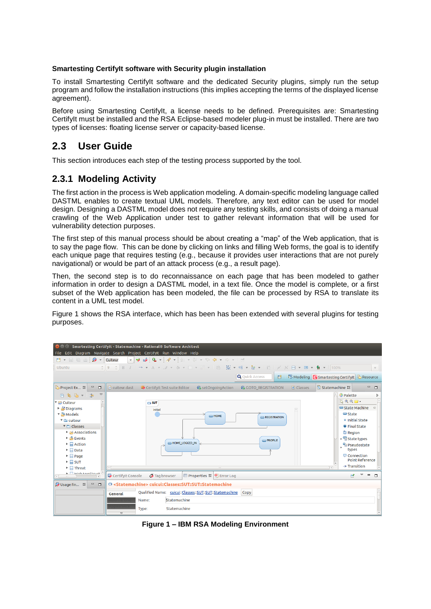#### **Smartesting CertifyIt software with Security plugin installation**

To install Smartesting CertifyIt software and the dedicated Security plugins, simply run the setup program and follow the installation instructions (this implies accepting the terms of the displayed license agreement).

Before using Smartesting CertifyIt, a license needs to be defined. Prerequisites are: Smartesting CertifyIt must be installed and the RSA Eclipse-based modeler plug-in must be installed. There are two types of licenses: floating license server or capacity-based license.

## **2.3 User Guide**

This section introduces each step of the testing process supported by the tool.

#### **2.3.1 Modeling Activity**

The first action in the process is Web application modeling. A domain-specific modeling language called DASTML enables to create textual UML models. Therefore, any text editor can be used for model design. Designing a DASTML model does not require any testing skills, and consists of doing a manual crawling of the Web Application under test to gather relevant information that will be used for vulnerability detection purposes.

The first step of this manual process should be about creating a "map" of the Web application, that is to say the page flow. This can be done by clicking on links and filling Web forms, the goal is to identify each unique page that requires testing (e.g., because it provides user interactions that are not purely navigational) or would be part of an attack process (e.g., a result page).

Then, the second step is to do reconnaissance on each page that has been modeled to gather information in order to design a DASTML model, in a text file. Once the model is complete, or a first subset of the Web application has been modeled, the file can be processed by RSA to translate its content in a UML test model.

[Figure 1](#page-2-0) shows the RSA interface, which has been has been extended with several plugins for testing purposes.



<span id="page-2-0"></span>**Figure 1 – IBM RSA Modeling Environment**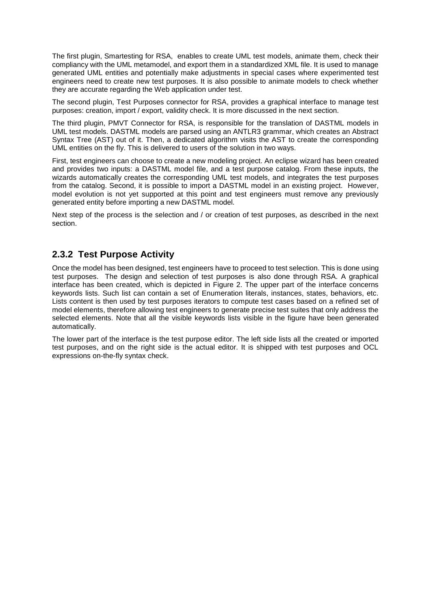The first plugin, Smartesting for RSA, enables to create UML test models, animate them, check their compliancy with the UML metamodel, and export them in a standardized XML file. It is used to manage generated UML entities and potentially make adjustments in special cases where experimented test engineers need to create new test purposes. It is also possible to animate models to check whether they are accurate regarding the Web application under test.

The second plugin, Test Purposes connector for RSA, provides a graphical interface to manage test purposes: creation, import / export, validity check. It is more discussed in the next section.

The third plugin, PMVT Connector for RSA, is responsible for the translation of DASTML models in UML test models. DASTML models are parsed using an ANTLR3 grammar, which creates an Abstract Syntax Tree (AST) out of it. Then, a dedicated algorithm visits the AST to create the corresponding UML entities on the fly. This is delivered to users of the solution in two ways.

First, test engineers can choose to create a new modeling project. An eclipse wizard has been created and provides two inputs: a DASTML model file, and a test purpose catalog. From these inputs, the wizards automatically creates the corresponding UML test models, and integrates the test purposes from the catalog. Second, it is possible to import a DASTML model in an existing project. However, model evolution is not yet supported at this point and test engineers must remove any previously generated entity before importing a new DASTML model.

Next step of the process is the selection and / or creation of test purposes, as described in the next section.

### **2.3.2 Test Purpose Activity**

Once the model has been designed, test engineers have to proceed to test selection. This is done using test purposes. The design and selection of test purposes is also done through RSA. A graphical interface has been created, which is depicted in [Figure 2.](#page-4-0) The upper part of the interface concerns keywords lists. Such list can contain a set of Enumeration literals, instances, states, behaviors, etc. Lists content is then used by test purposes iterators to compute test cases based on a refined set of model elements, therefore allowing test engineers to generate precise test suites that only address the selected elements. Note that all the visible keywords lists visible in the figure have been generated automatically.

The lower part of the interface is the test purpose editor. The left side lists all the created or imported test purposes, and on the right side is the actual editor. It is shipped with test purposes and OCL expressions on-the-fly syntax check.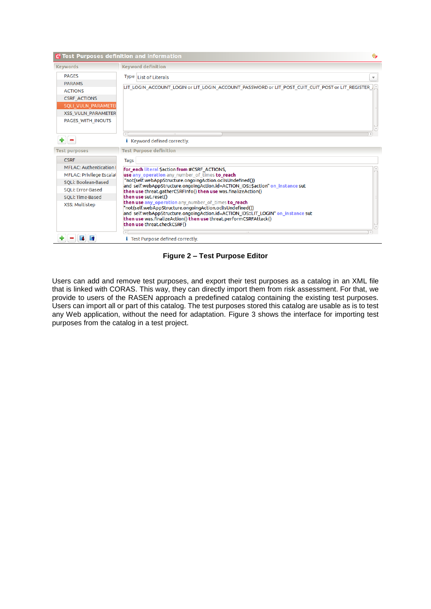

**Figure 2 – Test Purpose Editor**

<span id="page-4-0"></span>Users can add and remove test purposes, and export their test purposes as a catalog in an XML file that is linked with CORAS. This way, they can directly import them from risk assessment. For that, we provide to users of the RASEN approach a predefined catalog containing the existing test purposes. Users can import all or part of this catalog. The test purposes stored this catalog are usable as is to test any Web application, without the need for adaptation. [Figure 3](#page-5-0) shows the interface for importing test purposes from the catalog in a test project.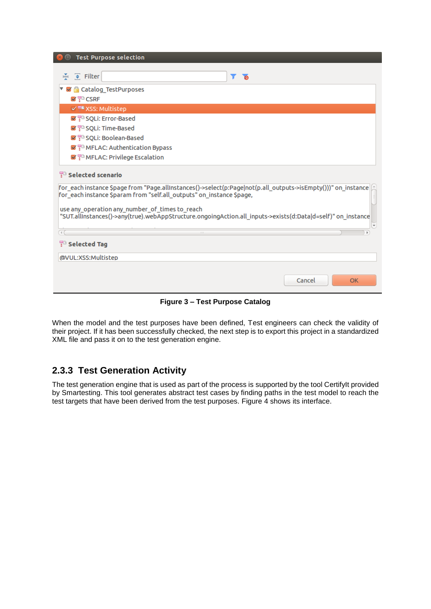| <b>Test Purpose selection</b>                                                                                                                                                          |  |  |  |
|----------------------------------------------------------------------------------------------------------------------------------------------------------------------------------------|--|--|--|
|                                                                                                                                                                                        |  |  |  |
| $\frac{X}{Y}$ $\oplus$ Filter<br>T<br>$\overline{a}$                                                                                                                                   |  |  |  |
| ▼ Ø A Catalog TestPurposes                                                                                                                                                             |  |  |  |
| $\blacktriangledown$ $\mathbb{P}^n$ CSRF                                                                                                                                               |  |  |  |
| √ F <sup>e</sup> XSS: Multistep                                                                                                                                                        |  |  |  |
| Signal SQLi: Error-Based                                                                                                                                                               |  |  |  |
| Sept. Time-Based                                                                                                                                                                       |  |  |  |
| September 1988                                                                                                                                                                         |  |  |  |
| $\blacktriangleright$ $\mathbb{F}^3$ MFLAC: Authentication Bypass                                                                                                                      |  |  |  |
| ■ F <sup>B</sup> MFLAC: Privilege Escalation                                                                                                                                           |  |  |  |
| <b>FB</b> Selected scenario                                                                                                                                                            |  |  |  |
| for_each instance \$page from "Page.allInstances()->select(p:Page not(p.all_outputs->isEmpty()))" on_instance<br>for each instance \$param from "self.all outputs" on instance \$page, |  |  |  |
| use any operation any number of times to reach<br>"SUT.allInstances()->any(true).webAppStructure.ongoingAction.all_inputs->exists(d:Data d=self)" on_instance                          |  |  |  |
| $\left( -1\right)$                                                                                                                                                                     |  |  |  |
| <sup>1</sup> Selected Tag                                                                                                                                                              |  |  |  |
| @VUL:XSS:Multistep                                                                                                                                                                     |  |  |  |
| Cancel<br><b>OK</b>                                                                                                                                                                    |  |  |  |

**Figure 3 – Test Purpose Catalog**

<span id="page-5-0"></span>When the model and the test purposes have been defined, Test engineers can check the validity of their project. If it has been successfully checked, the next step is to export this project in a standardized XML file and pass it on to the test generation engine.

### **2.3.3 Test Generation Activity**

The test generation engine that is used as part of the process is supported by the tool CertifyIt provided by Smartesting. This tool generates abstract test cases by finding paths in the test model to reach the test targets that have been derived from the test purposes. [Figure 4](#page-6-0) shows its interface.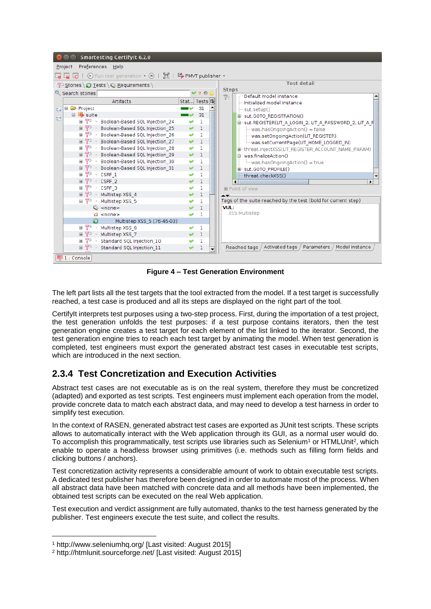| <b>Smartesting CertifyIt 6.2.0</b>                                                       |                   |                                                                 |  |  |
|------------------------------------------------------------------------------------------|-------------------|-----------------------------------------------------------------|--|--|
| Preferences Help<br>Project                                                              |                   |                                                                 |  |  |
| $\odot$ Run test generation $\bullet$ $\odot$   $\Box$   $\Box$ PMVT publisher $\bullet$ |                   |                                                                 |  |  |
| $\frac{1}{2}$ Stories $\bigcirc$ Tests $\bigcirc$ Requirements                           |                   | <b>Test detail</b>                                              |  |  |
| Q Search stories                                                                         | 20                | <b>Steps</b><br>Default model instance                          |  |  |
| <b>Artifacts</b>                                                                         | Stat Tests 母      | Y.<br>- Initialized model instance                              |  |  |
| ⊟ <del>@</del> Project<br>tεψ                                                            | 31                | <b>RANGE</b><br>sut.setup()                                     |  |  |
| □ <b>B</b> suite<br><b>En</b>                                                            | 31                | 中-sut.GOTO_REGISTRATION()                                       |  |  |
| o T<br>Boolean-Based SQL Injection_24<br>$\,$ $\,$                                       | 1                 | ie-sut.REGISTER(LIT_A_LOGIN_2, LIT_A_PASSWORD_2, LIT_A_F        |  |  |
| ⊞ <sup>खु</sup> Boolean-Based SQL Injection_25                                           | v<br>$\mathbf{1}$ | was.hasOngoingAction() = false                                  |  |  |
| o T<br>Boolean-Based SQL Injection 26                                                    | $\mathbf{1}$      | was.setOngoingAction(LIT REGISTER)                              |  |  |
| ⊞ P<br>Boolean-Based SQL Injection 27                                                    | Ø<br>$\mathbf{1}$ | was.setCurrentPage(LIT HOME LOGGED IN)                          |  |  |
| ⊞ <sup>P</sup> <sup>3</sup> Boolean-Based SQL Injection 28                               | Ø<br>ı            | C-threat.injectXSS(LIT REGISTER ACCOUNT NAME PARAM)             |  |  |
| o T<br>Boolean-Based SQL Injection 29                                                    | v<br>$\mathbf{1}$ | 白…was.finalizeAction()                                          |  |  |
| o T<br>Boolean-Based SQL Injection 30                                                    | ı                 | was.hasOngoingAction() = true                                   |  |  |
| ⊞ ⊞<br>Boolean-Based SQL Injection 31                                                    | 1                 | 中 sut.GOTO PROFILE()                                            |  |  |
| o T<br>- CSRF 1                                                                          | $\mathbf{1}$      | threat.checkXSS()<br>$\overline{\phantom{0}}$                   |  |  |
| 国军<br>CSRF <sub>2</sub>                                                                  | $\mathbf{1}$      | 888888888888888888888888888888<br>×                             |  |  |
| 国军军<br>CSRF 3                                                                            | 1                 | <b>EPoint of view</b>                                           |  |  |
| ⊞ T<br>Multistep XSS_4                                                                   | 1                 | $\blacktriangle \blacktriangledown$                             |  |  |
| o T<br>Multistep XSS 5                                                                   | n.                | Tags of the suite reached by the test (bold for current step)   |  |  |
| $\sim$ <none></none>                                                                     | $\mathbf{1}$      | VUL:                                                            |  |  |
| $a$ <none></none>                                                                        | n.                | XSS: Multistep                                                  |  |  |
| Q<br>Multistep XSS 5 (76-46-03)                                                          |                   |                                                                 |  |  |
| o T<br>Multistep XSS 6                                                                   | 1                 |                                                                 |  |  |
| e T<br>Multistep XSS 7<br>1                                                              |                   |                                                                 |  |  |
| □ - Standard SQL Injection 10                                                            | 1                 |                                                                 |  |  |
| ⊞ ⊞<br>Standard SQL Injection 11<br>$\mathbf{1}$                                         |                   | Model instance<br>Reached tags / Activated tags /<br>Parameters |  |  |
| $1:$ Console                                                                             |                   |                                                                 |  |  |

**Figure 4 – Test Generation Environment**

<span id="page-6-0"></span>The left part lists all the test targets that the tool extracted from the model. If a test target is successfully reached, a test case is produced and all its steps are displayed on the right part of the tool.

CertifyIt interprets test purposes using a two-step process. First, during the importation of a test project, the test generation unfolds the test purposes: if a test purpose contains iterators, then the test generation engine creates a test target for each element of the list linked to the iterator. Second, the test generation engine tries to reach each test target by animating the model. When test generation is completed, test engineers must export the generated abstract test cases in executable test scripts, which are introduced in the next section.

# **2.3.4 Test Concretization and Execution Activities**

Abstract test cases are not executable as is on the real system, therefore they must be concretized (adapted) and exported as test scripts. Test engineers must implement each operation from the model, provide concrete data to match each abstract data, and may need to develop a test harness in order to simplify test execution.

In the context of RASEN, generated abstract test cases are exported as JUnit test scripts. These scripts allows to automatically interact with the Web application through its GUI, as a normal user would do. To accomplish this programmatically, test scripts use libraries such as Selenium<sup>1</sup> or HTMLUnit<sup>2</sup>, which enable to operate a headless browser using primitives (i.e. methods such as filling form fields and clicking buttons / anchors).

Test concretization activity represents a considerable amount of work to obtain executable test scripts. A dedicated test publisher has therefore been designed in order to automate most of the process. When all abstract data have been matched with concrete data and all methods have been implemented, the obtained test scripts can be executed on the real Web application.

Test execution and verdict assignment are fully automated, thanks to the test harness generated by the publisher. Test engineers execute the test suite, and collect the results.

1

<sup>1</sup> http://www.seleniumhq.org/ [Last visited: August 2015]

<sup>2</sup> http://htmlunit.sourceforge.net/ [Last visited: August 2015]